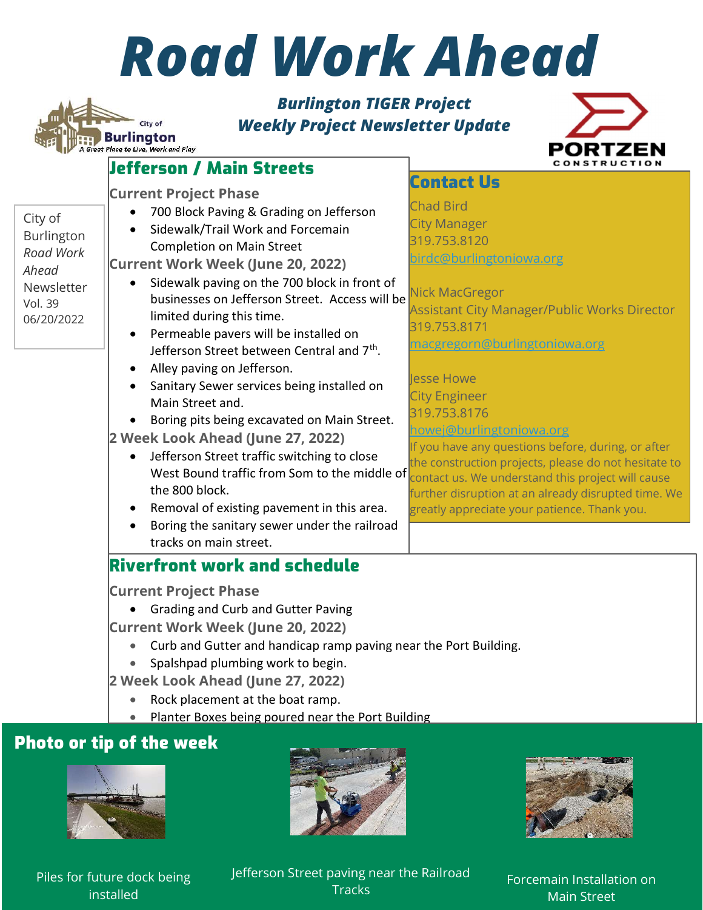## Road Work Ahead

## Burlington TIGER Project Weekly Project Newsletter Update



|                | Jefferson / Main Streets                                                      | <b>CONSTRUCTION</b>                                                                                        |
|----------------|-------------------------------------------------------------------------------|------------------------------------------------------------------------------------------------------------|
|                |                                                                               | <b>Contact Us</b>                                                                                          |
|                | <b>Current Project Phase</b>                                                  | <b>Chad Bird</b>                                                                                           |
| City of        | 700 Block Paving & Grading on Jefferson<br>$\bullet$                          | <b>City Manager</b>                                                                                        |
| Burlington     | Sidewalk/Trail Work and Forcemain                                             | 319.753.8120                                                                                               |
| Road Work      | <b>Completion on Main Street</b>                                              | birdc@burlingtoniowa.org                                                                                   |
| Ahead          | <b>Current Work Week (June 20, 2022)</b>                                      |                                                                                                            |
| Newsletter     | Sidewalk paving on the 700 block in front of<br>$\bullet$                     |                                                                                                            |
| <b>Vol. 39</b> | businesses on Jefferson Street. Access will be                                | Nick MacGregor                                                                                             |
| 06/20/2022     | limited during this time.                                                     | <b>Assistant City Manager/Public Works Director</b>                                                        |
|                | Permeable pavers will be installed on<br>$\bullet$                            | 319.753.8171                                                                                               |
|                | Jefferson Street between Central and 7 <sup>th</sup> .                        | <u>macgregorn@burlingtoniowa.org</u>                                                                       |
|                | Alley paving on Jefferson.                                                    |                                                                                                            |
|                | Sanitary Sewer services being installed on                                    | lesse Howe                                                                                                 |
|                | Main Street and.                                                              | <b>City Engineer</b>                                                                                       |
|                | Boring pits being excavated on Main Street.                                   | 319.753.8176                                                                                               |
|                | 2 Week Look Ahead (June 27, 2022)                                             | howej@burlingtoniowa.org                                                                                   |
|                | Jefferson Street traffic switching to close                                   | If you have any questions before, during, or after<br>the construction projects, please do not hesitate to |
|                | West Bound traffic from Som to the middle of                                  | contact us. We understand this project will cause                                                          |
|                | the 800 block.                                                                | further disruption at an already disrupted time. We                                                        |
|                | Removal of existing pavement in this area.<br>$\bullet$                       | greatly appreciate your patience. Thank you.                                                               |
|                | Boring the sanitary sewer under the railroad                                  |                                                                                                            |
|                | tracks on main street.                                                        |                                                                                                            |
|                | <b>Riverfront work and schedule</b>                                           |                                                                                                            |
|                | <b>Current Project Phase</b>                                                  |                                                                                                            |
|                | • Grading and Curb and Gutter Paving                                          |                                                                                                            |
|                |                                                                               |                                                                                                            |
|                | <b>Current Work Week (June 20, 2022)</b>                                      |                                                                                                            |
|                | Curb and Gutter and handicap ramp paving near the Port Building.<br>$\bullet$ |                                                                                                            |
|                | Spalshpad plumbing work to begin.<br>$\bullet$                                |                                                                                                            |
|                | 2 Week Look Ahead (June 27, 2022)                                             |                                                                                                            |
|                | Rock placement at the boat ramp.<br>$\bullet$                                 |                                                                                                            |
|                |                                                                               |                                                                                                            |

• Planter Boxes being poured near the Port Building

## Photo or tip of the week

City of **Burlington** 

eat Place to Live, Work and Play







Piles for future dock being installed

Jefferson Street paving near the Railroad **Tracks** 

Forcemain Installation on Main Street